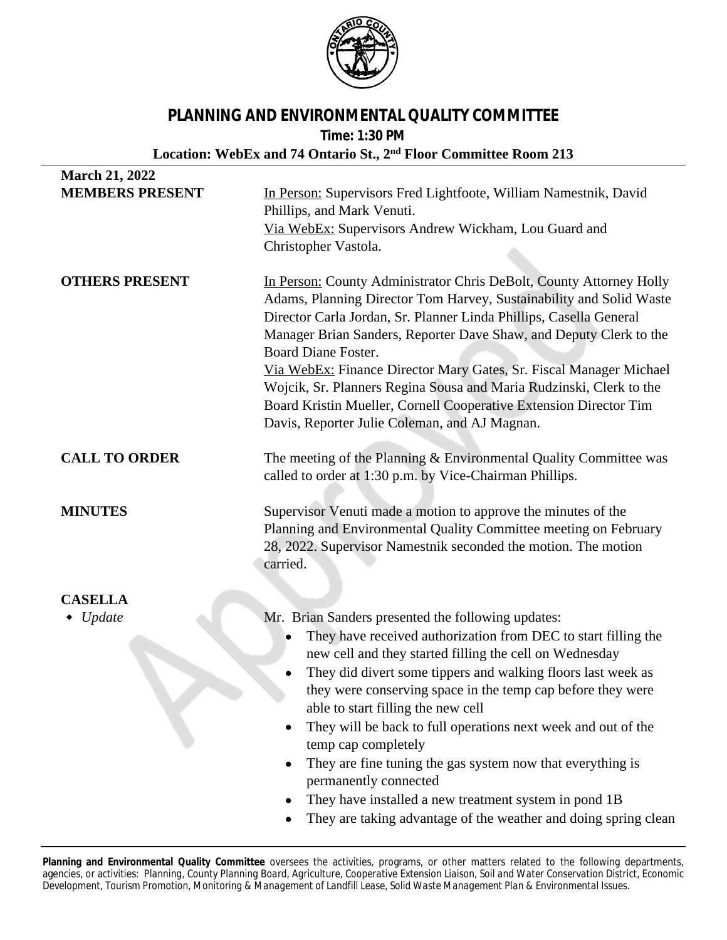

## **PLANNING AND ENVIRONMENTAL QUALITY COMMITTEE**

**Time: 1:30 PM**

## **Location: WebEx and 74 Ontario St., 2nd Floor Committee Room 213**

| <b>March 21, 2022</b>  |                                                                                                                                                                                                                                                                                                                                                                                                                                                                                                                                                                                                                                                                 |
|------------------------|-----------------------------------------------------------------------------------------------------------------------------------------------------------------------------------------------------------------------------------------------------------------------------------------------------------------------------------------------------------------------------------------------------------------------------------------------------------------------------------------------------------------------------------------------------------------------------------------------------------------------------------------------------------------|
| <b>MEMBERS PRESENT</b> | In Person: Supervisors Fred Lightfoote, William Namestnik, David<br>Phillips, and Mark Venuti.                                                                                                                                                                                                                                                                                                                                                                                                                                                                                                                                                                  |
|                        | Via WebEx: Supervisors Andrew Wickham, Lou Guard and                                                                                                                                                                                                                                                                                                                                                                                                                                                                                                                                                                                                            |
|                        | Christopher Vastola.                                                                                                                                                                                                                                                                                                                                                                                                                                                                                                                                                                                                                                            |
| <b>OTHERS PRESENT</b>  | In Person: County Administrator Chris DeBolt, County Attorney Holly<br>Adams, Planning Director Tom Harvey, Sustainability and Solid Waste<br>Director Carla Jordan, Sr. Planner Linda Phillips, Casella General<br>Manager Brian Sanders, Reporter Dave Shaw, and Deputy Clerk to the<br><b>Board Diane Foster.</b><br>Via WebEx: Finance Director Mary Gates, Sr. Fiscal Manager Michael<br>Wojcik, Sr. Planners Regina Sousa and Maria Rudzinski, Clerk to the<br>Board Kristin Mueller, Cornell Cooperative Extension Director Tim<br>Davis, Reporter Julie Coleman, and AJ Magnan.                                                                         |
| <b>CALL TO ORDER</b>   | The meeting of the Planning & Environmental Quality Committee was<br>called to order at 1:30 p.m. by Vice-Chairman Phillips.                                                                                                                                                                                                                                                                                                                                                                                                                                                                                                                                    |
| <b>MINUTES</b>         | Supervisor Venuti made a motion to approve the minutes of the<br>Planning and Environmental Quality Committee meeting on February<br>28, 2022. Supervisor Namestnik seconded the motion. The motion<br>carried.                                                                                                                                                                                                                                                                                                                                                                                                                                                 |
| <b>CASELLA</b>         |                                                                                                                                                                                                                                                                                                                                                                                                                                                                                                                                                                                                                                                                 |
| $\bullet$ Update       | Mr. Brian Sanders presented the following updates:<br>They have received authorization from DEC to start filling the<br>new cell and they started filling the cell on Wednesday<br>They did divert some tippers and walking floors last week as<br>they were conserving space in the temp cap before they were<br>able to start filling the new cell<br>They will be back to full operations next week and out of the<br>temp cap completely<br>They are fine tuning the gas system now that everything is<br>permanently connected<br>They have installed a new treatment system in pond 1B<br>They are taking advantage of the weather and doing spring clean |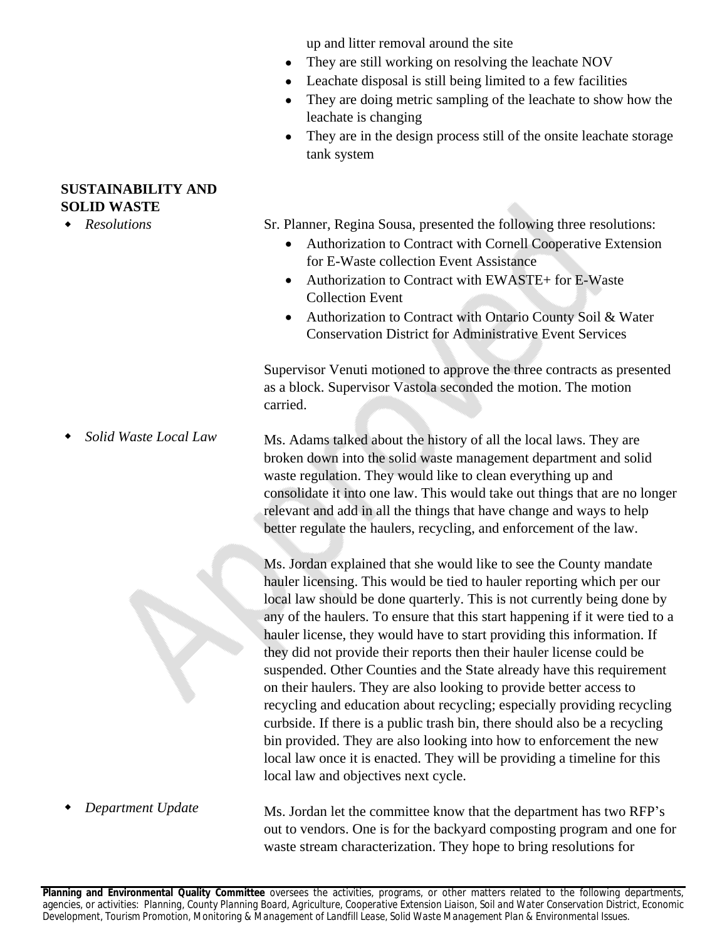up and litter removal around the site

- They are still working on resolving the leachate NOV
- Leachate disposal is still being limited to a few facilities
- They are doing metric sampling of the leachate to show how the leachate is changing
- They are in the design process still of the onsite leachate storage tank system

**SUSTAINABILITY AND SOLID WASTE**

*Resolutions*

*Solid Waste Local Law*

Sr. Planner, Regina Sousa, presented the following three resolutions:

- Authorization to Contract with Cornell Cooperative Extension for E-Waste collection Event Assistance
- Authorization to Contract with EWASTE+ for E-Waste Collection Event
- Authorization to Contract with Ontario County Soil & Water Conservation District for Administrative Event Services

Supervisor Venuti motioned to approve the three contracts as presented as a block. Supervisor Vastola seconded the motion. The motion carried.

Ms. Adams talked about the history of all the local laws. They are broken down into the solid waste management department and solid waste regulation. They would like to clean everything up and consolidate it into one law. This would take out things that are no longer relevant and add in all the things that have change and ways to help better regulate the haulers, recycling, and enforcement of the law.

Ms. Jordan explained that she would like to see the County mandate hauler licensing. This would be tied to hauler reporting which per our local law should be done quarterly. This is not currently being done by any of the haulers. To ensure that this start happening if it were tied to a hauler license, they would have to start providing this information. If they did not provide their reports then their hauler license could be suspended. Other Counties and the State already have this requirement on their haulers. They are also looking to provide better access to recycling and education about recycling; especially providing recycling curbside. If there is a public trash bin, there should also be a recycling bin provided. They are also looking into how to enforcement the new local law once it is enacted. They will be providing a timeline for this local law and objectives next cycle.

Ms. Jordan let the committee know that the department has two RFP's out to vendors. One is for the backyard composting program and one for waste stream characterization. They hope to bring resolutions for

*Department Update*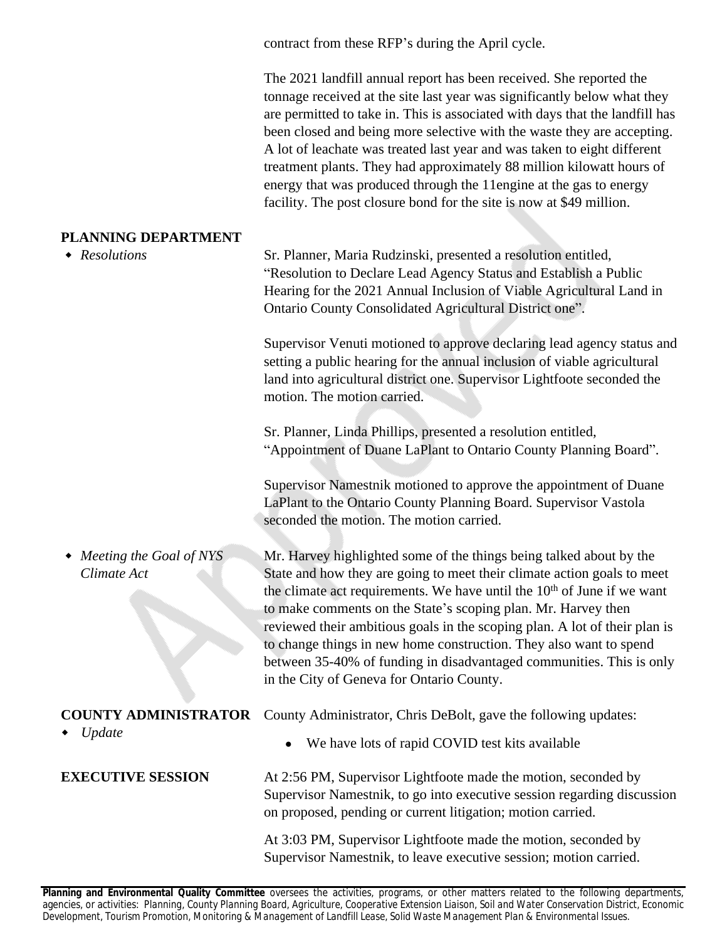contract from these RFP's during the April cycle.

The 2021 landfill annual report has been received. She reported the tonnage received at the site last year was significantly below what they are permitted to take in. This is associated with days that the landfill has been closed and being more selective with the waste they are accepting. A lot of leachate was treated last year and was taken to eight different treatment plants. They had approximately 88 million kilowatt hours of energy that was produced through the 11engine at the gas to energy facility. The post closure bond for the site is now at \$49 million.

## **PLANNING DEPARTMENT**

| PLANNING DEPAKTMENT<br>• Resolutions     | Sr. Planner, Maria Rudzinski, presented a resolution entitled,                                                                                                                                                                                                                                                                                                                                                                                                                                                                                                                  |
|------------------------------------------|---------------------------------------------------------------------------------------------------------------------------------------------------------------------------------------------------------------------------------------------------------------------------------------------------------------------------------------------------------------------------------------------------------------------------------------------------------------------------------------------------------------------------------------------------------------------------------|
|                                          | "Resolution to Declare Lead Agency Status and Establish a Public<br>Hearing for the 2021 Annual Inclusion of Viable Agricultural Land in<br>Ontario County Consolidated Agricultural District one".                                                                                                                                                                                                                                                                                                                                                                             |
|                                          | Supervisor Venuti motioned to approve declaring lead agency status and<br>setting a public hearing for the annual inclusion of viable agricultural<br>land into agricultural district one. Supervisor Lightfoote seconded the<br>motion. The motion carried.                                                                                                                                                                                                                                                                                                                    |
|                                          | Sr. Planner, Linda Phillips, presented a resolution entitled,<br>"Appointment of Duane LaPlant to Ontario County Planning Board".                                                                                                                                                                                                                                                                                                                                                                                                                                               |
|                                          | Supervisor Namestnik motioned to approve the appointment of Duane<br>LaPlant to the Ontario County Planning Board. Supervisor Vastola<br>seconded the motion. The motion carried.                                                                                                                                                                                                                                                                                                                                                                                               |
| • Meeting the Goal of NYS<br>Climate Act | Mr. Harvey highlighted some of the things being talked about by the<br>State and how they are going to meet their climate action goals to meet<br>the climate act requirements. We have until the 10 <sup>th</sup> of June if we want<br>to make comments on the State's scoping plan. Mr. Harvey then<br>reviewed their ambitious goals in the scoping plan. A lot of their plan is<br>to change things in new home construction. They also want to spend<br>between 35-40% of funding in disadvantaged communities. This is only<br>in the City of Geneva for Ontario County. |
| <b>COUNTY ADMINISTRATOR</b><br>Update    | County Administrator, Chris DeBolt, gave the following updates:                                                                                                                                                                                                                                                                                                                                                                                                                                                                                                                 |
|                                          | We have lots of rapid COVID test kits available                                                                                                                                                                                                                                                                                                                                                                                                                                                                                                                                 |
| <b>EXECUTIVE SESSION</b>                 | At 2:56 PM, Supervisor Lightfoote made the motion, seconded by<br>Supervisor Namestnik, to go into executive session regarding discussion<br>on proposed, pending or current litigation; motion carried.                                                                                                                                                                                                                                                                                                                                                                        |
|                                          | At 3:03 PM, Supervisor Lightfoote made the motion, seconded by<br>Supervisor Namestnik, to leave executive session; motion carried.                                                                                                                                                                                                                                                                                                                                                                                                                                             |